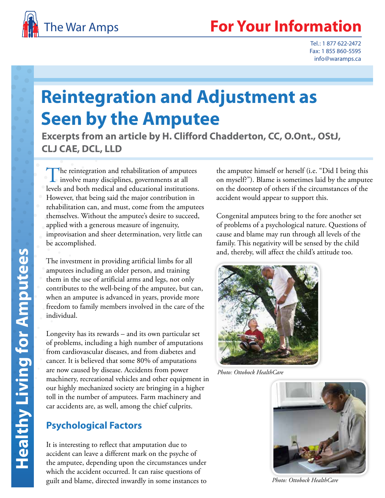

Tel.: 1 877 622-2472 Fax: 1 855 860-5595 info@waramps.ca

# **Reintegration and Adjustment as Seen by the Amputee**

**Excerpts from an article by H. Clifford Chadderton, CC, O.Ont., OStJ, CLJ CAE, DCL, LLD**

The reintegration and rehabilitation of amputees involve many disciplines, governments at all levels and both medical and educational institutions. However, that being said the major contribution in rehabilitation can, and must, come from the amputees themselves. Without the amputee's desire to succeed, applied with a generous measure of ingenuity, improvisation and sheer determination, very little can be accomplished.

The investment in providing artificial limbs for all amputees including an older person, and training them in the use of artificial arms and legs, not only contributes to the well-being of the amputee, but can, when an amputee is advanced in years, provide more freedom to family members involved in the care of the individual.

Longevity has its rewards – and its own particular set of problems, including a high number of amputations from cardiovascular diseases, and from diabetes and cancer. It is believed that some 80% of amputations are now caused by disease. Accidents from power machinery, recreational vehicles and other equipment in our highly mechanized society are bringing in a higher toll in the number of amputees. Farm machinery and car accidents are, as well, among the chief culprits.

# **Psychological Factors**

It is interesting to reflect that amputation due to accident can leave a different mark on the psyche of the amputee, depending upon the circumstances under which the accident occurred. It can raise questions of guilt and blame, directed inwardly in some instances to

the amputee himself or herself (i.e. "Did I bring this on myself?"). Blame is sometimes laid by the amputee on the doorstep of others if the circumstances of the accident would appear to support this.

Congenital amputees bring to the fore another set of problems of a psychological nature. Questions of cause and blame may run through all levels of the family. This negativity will be sensed by the child and, thereby, will affect the child's attitude too.



*Photo: Ottobock HealthCare*



*Photo: Ottobock HealthCare*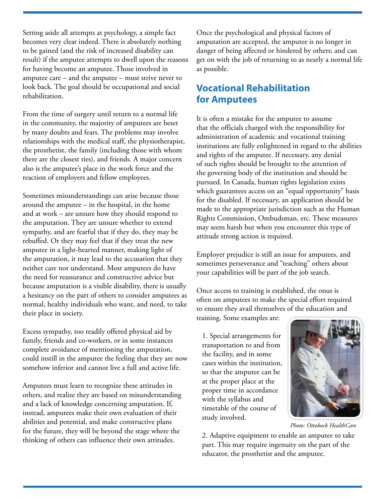Setting aside all attempts at psychology, a simple fact becomes very clear indeed. There is absolutely nothing to be gained (and the risk of increased disability can result) if the amputee attempts to dwell upon the reasons for having become an amputee. Those involved in amputee care – and the amputee – must strive never to look back. The goal should be occupational and social rehabilitation.

From the time of surgery until return to a normal life in the community, the majority of amputees are beset by many doubts and fears. The problems may involve relationships with the medical staff, the physiotherapist, the prosthetist, the family (including those with whom there are the closest ties), and friends. A major concern also is the amputee's place in the work force and the reaction of employers and fellow employees.

Sometimes misunderstandings can arise because those around the amputee – in the hospital, in the home and at work – are unsure how they should respond to the amputation. They are unsure whether to extend sympathy, and are fearful that if they do, they may be rebuffed. Or they may feel that if they treat the new amputee in a light-hearted manner, making light of the amputation, it may lead to the accusation that they neither care nor understand. Most amputees do have the need for reassurance and constructive advice but because amputation is a visible disability, there is usually a hesitancy on the part of others to consider amputees as normal, healthy individuals who want, and need, to take their place in society.

Excess sympathy, too readily offered physical aid by family, friends and co-workers, or in some instances complete avoidance of mentioning the amputation, could instill in the amputee the feeling that they are now somehow inferior and cannot live a full and active life.

Amputees must learn to recognize these attitudes in others, and realize they are based on misunderstanding and a lack of knowledge concerning amputation. If, instead, amputees make their own evaluation of their abilities and potential, and make constructive plans for the future, they will be beyond the stage where the thinking of others can influence their own attitudes.

Once the psychological and physical factors of amputation are accepted, the amputee is no longer in danger of being affected or hindered by others; and can get on with the job of returning to as nearly a normal life as possible.

## **Vocational Rehabilitation for Amputees**

It is often a mistake for the amputee to assume that the officials charged with the responsibility for administration of academic and vocational training institutions are fully enlightened in regard to the abilities and rights of the amputee. If necessary, any denial of such rights should be brought to the attention of the governing body of the institution and should be pursued. In Canada, human rights legislation exists which guarantees access on an "equal opportunity" basis for the disabled. If necessary, an application should be made to the appropriate jurisdiction such as the Human Rights Commission, Ombudsman, etc. These measures may seem harsh but when you encounter this type of attitude strong action is required.

Employer prejudice is still an issue for amputees, and sometimes perseverance and "teaching" others about your capabilities will be part of the job search.

Once access to training is established, the onus is often on amputees to make the special effort required to ensure they avail themselves of the education and

training. Some examples are:

1. Special arrangements for transportation to and from the facility, and in some cases within the institution, so that the amputee can be at the proper place at the proper time in accordance with the syllabus and timetable of the course of study involved.



*Photo: Ottobock HealthCare*

2. Adaptive equipment to enable an amputee to take part. This may require ingenuity on the part of the educator, the prosthetist and the amputee.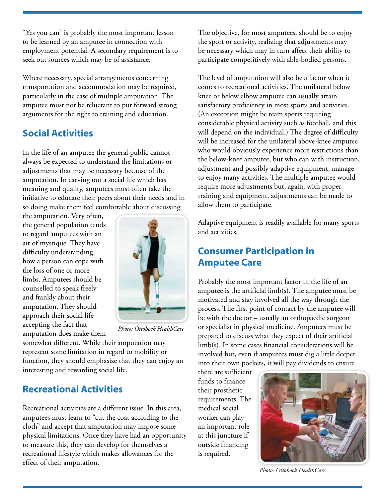"Yes you can" is probably the most important lesson to be learned by an amputee in connection with employment potential. A secondary requirement is to seek out sources which may be of assistance.

Where necessary, special arrangements concerning transportation and accommodation may be required, particularly in the case of multiple amputation. The amputee must not be reluctant to put forward strong arguments for the right to training and education.

## **Social Activities**

In the life of an amputee the general public cannot always be expected to understand the limitations or adjustments that may be necessary because of the amputation. In carving out a social life which has meaning and quality, amputees must often take the initiative to educate their peers about their needs and in so doing make them feel comfortable about discussing

the amputation. Very often, the general population tends to regard amputees with an air of mystique. They have difficulty understanding how a person can cope with the loss of one or more limbs. Amputees should be counselled to speak freely and frankly about their amputation. They should approach their social life accepting the fact that amputation does make them



*Photo: Ottobock HealthCare*

somewhat different. While their amputation may represent some limitation in regard to mobility or function, they should emphasize that they can enjoy an interesting and rewarding social life.

#### **Recreational Activities**

Recreational activities are a different issue. In this area, amputees must learn to "cut the coat according to the cloth" and accept that amputation may impose some physical limitations. Once they have had an opportunity to measure this, they can develop for themselves a recreational lifestyle which makes allowances for the effect of their amputation.

The objective, for most amputees, should be to enjoy the sport or activity, realizing that adjustments may be necessary which may in turn affect their ability to participate competitively with able-bodied persons.

The level of amputation will also be a factor when it comes to recreational activities. The unilateral below knee or below elbow amputee can usually attain satisfactory proficiency in most sports and activities. (An exception might be team sports requiring considerable physical activity such as football, and this will depend on the individual.) The degree of difficulty will be increased for the unilateral above-knee amputee who would obviously experience more restrictions than the below-knee amputee, but who can with instruction, adjustment and possibly adaptive equipment, manage to enjoy many activities. The multiple amputee would require more adjustments but, again, with proper training and equipment, adjustments can be made to allow them to participate.

Adaptive equipment is readily available for many sports and activities.

## **Consumer Participation in Amputee Care**

Probably the most important factor in the life of an amputee is the artificial limb(s). The amputee must be motivated and stay involved all the way through the process. The first point of contact by the amputee will be with the doctor – usually an orthopaedic surgeon or specialist in physical medicine. Amputees must be prepared to discuss what they expect of their artificial limb(s). In some cases financial considerations will be involved but, even if amputees must dig a little deeper into their own pockets, it will pay dividends to ensure

there are sufficient funds to finance their prosthetic requirements. The medical social worker can play an important role at this juncture if outside financing is required.



*Photo: Ottobock HealthCare*